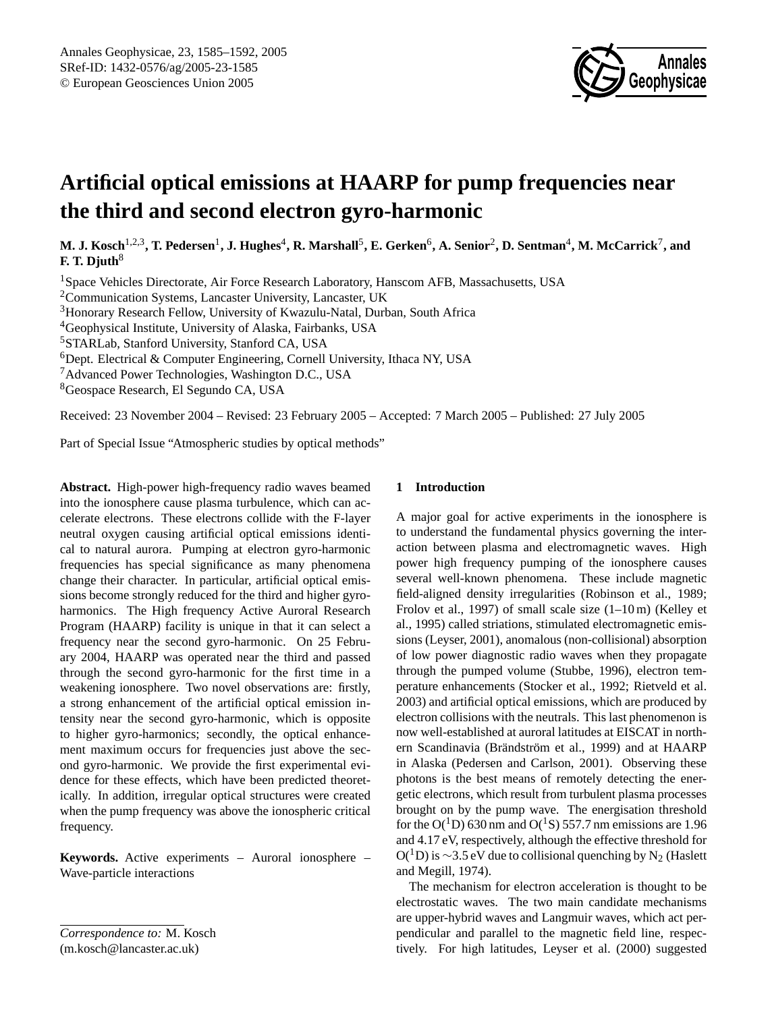

# **Artificial optical emissions at HAARP for pump frequencies near the third and second electron gyro-harmonic**

M. J. Kosch<sup>1,2,3</sup>, T. Pedersen<sup>1</sup>, J. Hughes<sup>4</sup>, R. Marshall<sup>5</sup>, E. Gerken<sup>6</sup>, A. Senior<sup>2</sup>, D. Sentman<sup>4</sup>, M. McCarrick<sup>7</sup>, and **F. T. Djuth**<sup>8</sup>

<sup>1</sup>Space Vehicles Directorate, Air Force Research Laboratory, Hanscom AFB, Massachusetts, USA

<sup>2</sup>Communication Systems, Lancaster University, Lancaster, UK

<sup>3</sup>Honorary Research Fellow, University of Kwazulu-Natal, Durban, South Africa

<sup>4</sup>Geophysical Institute, University of Alaska, Fairbanks, USA

<sup>5</sup>STARLab, Stanford University, Stanford CA, USA

 $6$ Dept. Electrical & Computer Engineering, Cornell University, Ithaca NY, USA

<sup>7</sup>Advanced Power Technologies, Washington D.C., USA

<sup>8</sup>Geospace Research, El Segundo CA, USA

Received: 23 November 2004 – Revised: 23 February 2005 – Accepted: 7 March 2005 – Published: 27 July 2005

Part of Special Issue "Atmospheric studies by optical methods"

**Abstract.** High-power high-frequency radio waves beamed into the ionosphere cause plasma turbulence, which can accelerate electrons. These electrons collide with the F-layer neutral oxygen causing artificial optical emissions identical to natural aurora. Pumping at electron gyro-harmonic frequencies has special significance as many phenomena change their character. In particular, artificial optical emissions become strongly reduced for the third and higher gyroharmonics. The High frequency Active Auroral Research Program (HAARP) facility is unique in that it can select a frequency near the second gyro-harmonic. On 25 February 2004, HAARP was operated near the third and passed through the second gyro-harmonic for the first time in a weakening ionosphere. Two novel observations are: firstly, a strong enhancement of the artificial optical emission intensity near the second gyro-harmonic, which is opposite to higher gyro-harmonics; secondly, the optical enhancement maximum occurs for frequencies just above the second gyro-harmonic. We provide the first experimental evidence for these effects, which have been predicted theoretically. In addition, irregular optical structures were created when the pump frequency was above the ionospheric critical frequency.

**Keywords.** Active experiments – Auroral ionosphere – Wave-particle interactions

*Correspondence to:* M. Kosch

### <span id="page-0-0"></span>(m.kosch@lancaster.ac.uk)

## **1 Introduction**

A major goal for active experiments in the ionosphere is to understand the fundamental physics governing the interaction between plasma and electromagnetic waves. High power high frequency pumping of the ionosphere causes several well-known phenomena. These include magnetic field-aligned density irregularities (Robinson et al., 1989; Frolov et al., 1997) of small scale size (1–10 m) (Kelley et al., 1995) called striations, stimulated electromagnetic emissions (Leyser, 2001), anomalous (non-collisional) absorption of low power diagnostic radio waves when they propagate through the pumped volume (Stubbe, 1996), electron temperature enhancements (Stocker et al., 1992; Rietveld et al. 2003) and artificial optical emissions, which are produced by electron collisions with the neutrals. This last phenomenon is now well-established at auroral latitudes at EISCAT in northern Scandinavia (Brändström et al., 1999) and at HAARP in Alaska (Pedersen and Carlson, 2001). Observing these photons is the best means of remotely detecting the energetic electrons, which result from turbulent plasma processes brought on by the pump wave. The energisation threshold for the  $O(^1D)$  630 nm and  $O(^1S)$  557.7 nm emissions are 1.96 and 4.17 eV, respectively, although the effective threshold for  $O(^1D)$  is ~3.5 eV due to collisional quenching by N<sub>2</sub> (Haslett and Megill, 1974).

The mechanism for electron acceleration is thought to be electrostatic waves. The two main candidate mechanisms are upper-hybrid waves and Langmuir waves, which act perpendicular and parallel to the magnetic field line, respectively. For high latitudes, Leyser et al. (2000) suggested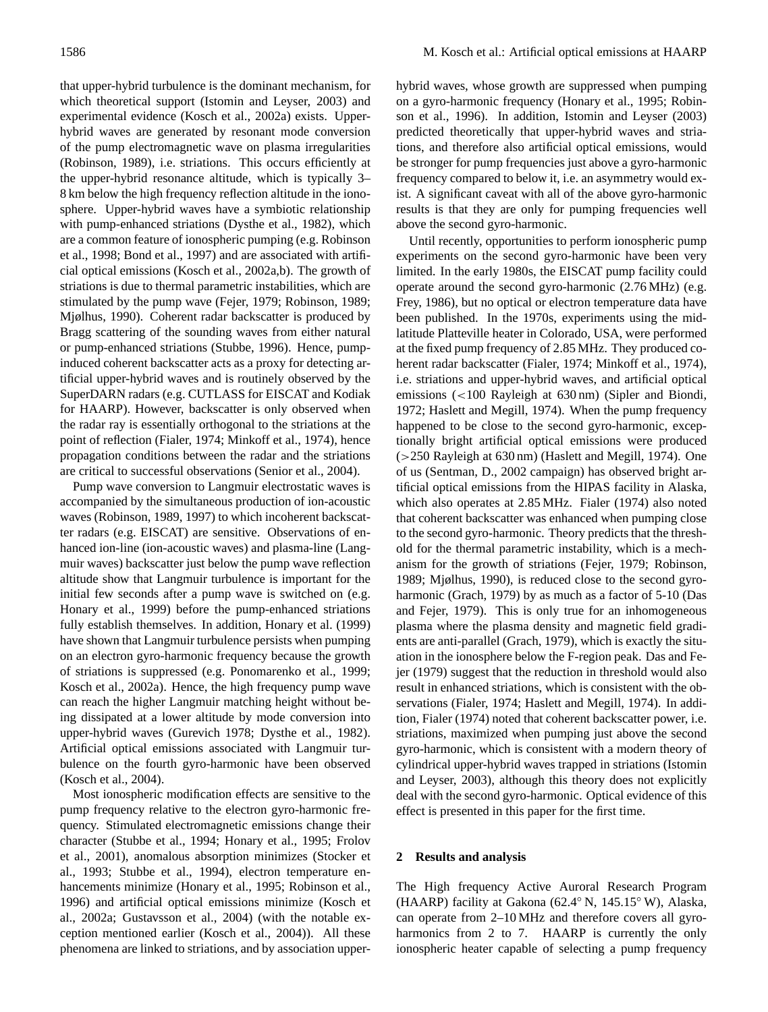that upper-hybrid turbulence is the dominant mechanism, for which theoretical support (Istomin and Leyser, 2003) and experimental evidence (Kosch et al., 2002a) exists. Upperhybrid waves are generated by resonant mode conversion of the pump electromagnetic wave on plasma irregularities (Robinson, 1989), i.e. striations. This occurs efficiently at the upper-hybrid resonance altitude, which is typically 3– 8 km below the high frequency reflection altitude in the ionosphere. Upper-hybrid waves have a symbiotic relationship with pump-enhanced striations (Dysthe et al., 1982), which are a common feature of ionospheric pumping (e.g. Robinson et al., 1998; Bond et al., 1997) and are associated with artificial optical emissions (Kosch et al., 2002a,b). The growth of striations is due to thermal parametric instabilities, which are stimulated by the pump wave (Fejer, 1979; Robinson, 1989; Mjølhus, 1990). Coherent radar backscatter is produced by Bragg scattering of the sounding waves from either natural or pump-enhanced striations (Stubbe, 1996). Hence, pumpinduced coherent backscatter acts as a proxy for detecting artificial upper-hybrid waves and is routinely observed by the SuperDARN radars (e.g. CUTLASS for EISCAT and Kodiak for HAARP). However, backscatter is only observed when the radar ray is essentially orthogonal to the striations at the point of reflection (Fialer, 1974; Minkoff et al., 1974), hence propagation conditions between the radar and the striations are critical to successful observations (Senior et al., 2004).

Pump wave conversion to Langmuir electrostatic waves is accompanied by the simultaneous production of ion-acoustic waves (Robinson, 1989, 1997) to which incoherent backscatter radars (e.g. EISCAT) are sensitive. Observations of enhanced ion-line (ion-acoustic waves) and plasma-line (Langmuir waves) backscatter just below the pump wave reflection altitude show that Langmuir turbulence is important for the initial few seconds after a pump wave is switched on (e.g. Honary et al., 1999) before the pump-enhanced striations fully establish themselves. In addition, Honary et al. (1999) have shown that Langmuir turbulence persists when pumping on an electron gyro-harmonic frequency because the growth of striations is suppressed (e.g. Ponomarenko et al., 1999; Kosch et al., 2002a). Hence, the high frequency pump wave can reach the higher Langmuir matching height without being dissipated at a lower altitude by mode conversion into upper-hybrid waves (Gurevich 1978; Dysthe et al., 1982). Artificial optical emissions associated with Langmuir turbulence on the fourth gyro-harmonic have been observed (Kosch et al., 2004).

Most ionospheric modification effects are sensitive to the pump frequency relative to the electron gyro-harmonic frequency. Stimulated electromagnetic emissions change their character (Stubbe et al., 1994; Honary et al., 1995; Frolov et al., 2001), anomalous absorption minimizes (Stocker et al., 1993; Stubbe et al., 1994), electron temperature enhancements minimize (Honary et al., 1995; Robinson et al., 1996) and artificial optical emissions minimize (Kosch et al., 2002a; Gustavsson et al., 2004) (with the notable exception mentioned earlier (Kosch et al., 2004)). All these phenomena are linked to striations, and by association upperhybrid waves, whose growth are suppressed when pumping on a gyro-harmonic frequency (Honary et al., 1995; Robinson et al., 1996). In addition, Istomin and Leyser (2003) predicted theoretically that upper-hybrid waves and striations, and therefore also artificial optical emissions, would be stronger for pump frequencies just above a gyro-harmonic frequency compared to below it, i.e. an asymmetry would exist. A significant caveat with all of the above gyro-harmonic results is that they are only for pumping frequencies well above the second gyro-harmonic.

Until recently, opportunities to perform ionospheric pump experiments on the second gyro-harmonic have been very limited. In the early 1980s, the EISCAT pump facility could operate around the second gyro-harmonic (2.76 MHz) (e.g. Frey, 1986), but no optical or electron temperature data have been published. In the 1970s, experiments using the midlatitude Platteville heater in Colorado, USA, were performed at the fixed pump frequency of 2.85 MHz. They produced coherent radar backscatter (Fialer, 1974; Minkoff et al., 1974), i.e. striations and upper-hybrid waves, and artificial optical emissions (<100 Rayleigh at 630 nm) (Sipler and Biondi, 1972; Haslett and Megill, 1974). When the pump frequency happened to be close to the second gyro-harmonic, exceptionally bright artificial optical emissions were produced (>250 Rayleigh at 630 nm) (Haslett and Megill, 1974). One of us (Sentman, D., 2002 campaign) has observed bright artificial optical emissions from the HIPAS facility in Alaska, which also operates at 2.85 MHz. Fialer (1974) also noted that coherent backscatter was enhanced when pumping close to the second gyro-harmonic. Theory predicts that the threshold for the thermal parametric instability, which is a mechanism for the growth of striations (Fejer, 1979; Robinson, 1989; Mjølhus, 1990), is reduced close to the second gyroharmonic (Grach, 1979) by as much as a factor of 5-10 (Das and Fejer, 1979). This is only true for an inhomogeneous plasma where the plasma density and magnetic field gradients are anti-parallel (Grach, 1979), which is exactly the situation in the ionosphere below the F-region peak. Das and Fejer (1979) suggest that the reduction in threshold would also result in enhanced striations, which is consistent with the observations (Fialer, 1974; Haslett and Megill, 1974). In addition, Fialer (1974) noted that coherent backscatter power, i.e. striations, maximized when pumping just above the second gyro-harmonic, which is consistent with a modern theory of cylindrical upper-hybrid waves trapped in striations (Istomin and Leyser, 2003), although this theory does not explicitly deal with the second gyro-harmonic. Optical evidence of this effect is presented in this paper for the first time.

### **2 Results and analysis**

The High frequency Active Auroral Research Program (HAARP) facility at Gakona (62.4◦ N, 145.15◦ W), Alaska, can operate from 2–10 MHz and therefore covers all gyroharmonics from 2 to 7. HAARP is currently the only ionospheric heater capable of selecting a pump frequency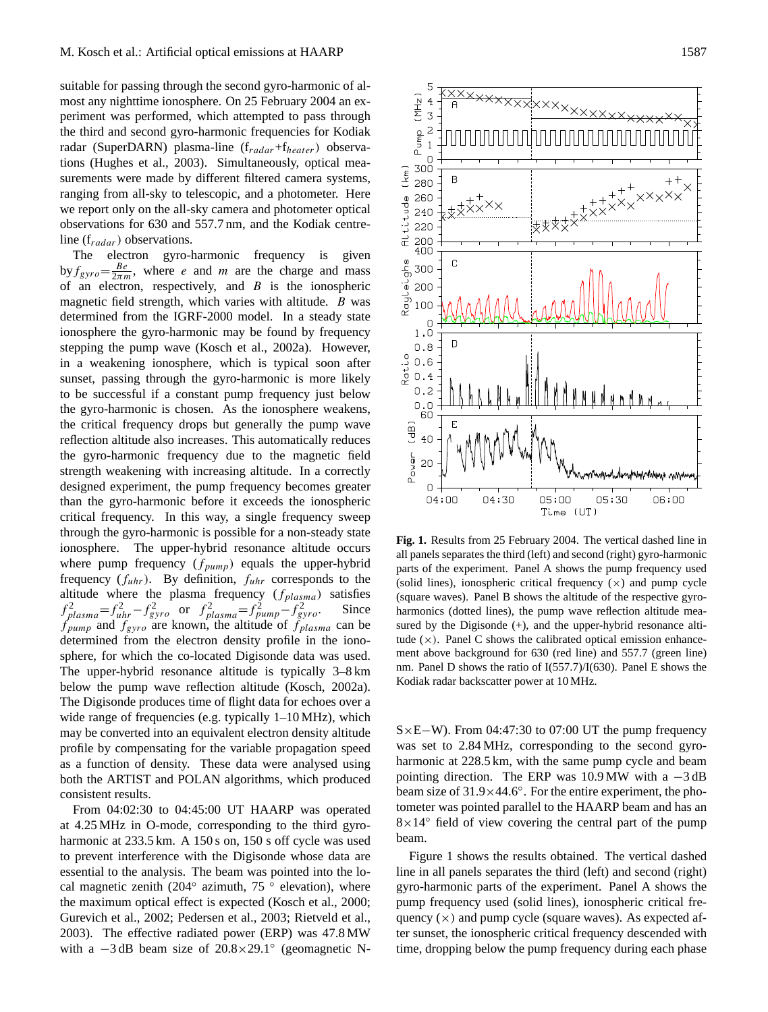suitable for passing through the second gyro-harmonic of almost any nighttime ionosphere. On 25 February 2004 an experiment was performed, which attempted to pass through the third and second gyro-harmonic frequencies for Kodiak radar (SuperDARN) plasma-line  $(f_{radar} + f_{heater})$  observations (Hughes et al., 2003). Simultaneously, optical measurements were made by different filtered camera systems, ranging from all-sky to telescopic, and a photometer. Here we report only on the all-sky camera and photometer optical observations for 630 and 557.7 nm, and the Kodiak centreline  $(f_{radar})$  observations.

The electron gyro-harmonic frequency is given by  $f_{gyro} = \frac{Be}{2\pi m}$ , where *e* and *m* are the charge and mass of an electron, respectively, and  $B$  is the ionospheric magnetic field strength, which varies with altitude. B was determined from the IGRF-2000 model. In a steady state ionosphere the gyro-harmonic may be found by frequency stepping the pump wave (Kosch et al., 2002a). However, in a weakening ionosphere, which is typical soon after sunset, passing through the gyro-harmonic is more likely to be successful if a constant pump frequency just below the gyro-harmonic is chosen. As the ionosphere weakens, the critical frequency drops but generally the pump wave reflection altitude also increases. This automatically reduces the gyro-harmonic frequency due to the magnetic field strength weakening with increasing altitude. In a correctly designed experiment, the pump frequency becomes greater than the gyro-harmonic before it exceeds the ionospheric critical frequency. In this way, a single frequency sweep through the gyro-harmonic is possible for a non-steady state ionosphere. The upper-hybrid resonance altitude occurs where pump frequency  $(f_{pump})$  equals the upper-hybrid frequency  $(f_{uhr})$ . By definition,  $f_{uhr}$  corresponds to the altitude where the plasma frequency  $(f_{plasma})$  satisfies  $f_{plasma}^2 = f_{uhr}^2 - f_{gyro}^2$  or  $f_{plasma}^2 = f_{pump}^2 - f_{gyro}^2$ . Since  $f_{pump}$  and  $f_{gyro}$  are known, the altitude of  $f_{plasma}$  can be determined from the electron density profile in the ionosphere, for which the co-located Digisonde data was used. The upper-hybrid resonance altitude is typically 3–8 km below the pump wave reflection altitude (Kosch, 2002a). The Digisonde produces time of flight data for echoes over a wide range of frequencies (e.g. typically  $1-10 \text{ MHz}$ ), which may be converted into an equivalent electron density altitude profile by compensating for the variable propagation speed as a function of density. These data were analysed using both the ARTIST and POLAN algorithms, which produced consistent results.

From 04:02:30 to 04:45:00 UT HAARP was operated at 4.25 MHz in O-mode, corresponding to the third gyroharmonic at 233.5 km. A 150 s on, 150 s off cycle was used to prevent interference with the Digisonde whose data are essential to the analysis. The beam was pointed into the local magnetic zenith (204 $\degree$  azimuth, 75 $\degree$  elevation), where the maximum optical effect is expected (Kosch et al., 2000; Gurevich et al., 2002; Pedersen et al., 2003; Rietveld et al., 2003). The effective radiated power (ERP) was 47.8 MW with a  $-3$  dB beam size of  $20.8 \times 29.1^\circ$  (geomagnetic N-



**Fig. 1.** Results from 25 February 2004. The vertical dashed line in all panels separates the third (left) and second (right) gyro-harmonic parts of the experiment. Panel A shows the pump frequency used (solid lines), ionospheric critical frequency  $(x)$  and pump cycle (square waves). Panel B shows the altitude of the respective gyroharmonics (dotted lines), the pump wave reflection altitude measured by the Digisonde (+), and the upper-hybrid resonance altitude  $(x)$ . Panel C shows the calibrated optical emission enhancement above background for 630 (red line) and 557.7 (green line) nm. Panel D shows the ratio of I(557.7)/I(630). Panel E shows the Kodiak radar backscatter power at 10 MHz.

S×E−W). From 04:47:30 to 07:00 UT the pump frequency was set to 2.84 MHz, corresponding to the second gyroharmonic at 228.5 km, with the same pump cycle and beam pointing direction. The ERP was  $10.9 \text{ MW}$  with a  $-3 \text{ dB}$ beam size of 31.9×44.6°. For the entire experiment, the photometer was pointed parallel to the HAARP beam and has an  $8\times14^\circ$  field of view covering the central part of the pump beam.

Figure 1 shows the results obtained. The vertical dashed line in all panels separates the third (left) and second (right) gyro-harmonic parts of the experiment. Panel A shows the pump frequency used (solid lines), ionospheric critical frequency  $(x)$  and pump cycle (square waves). As expected after sunset, the ionospheric critical frequency descended with time, dropping below the pump frequency during each phase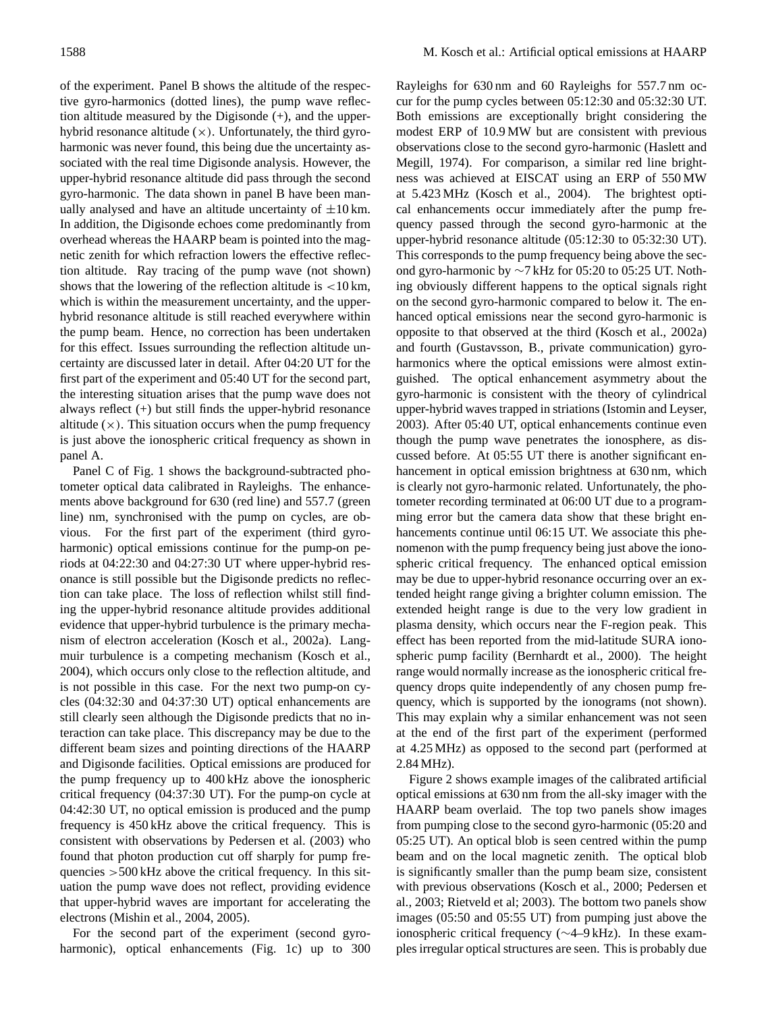of the experiment. Panel B shows the altitude of the respective gyro-harmonics (dotted lines), the pump wave reflection altitude measured by the Digisonde (+), and the upperhybrid resonance altitude  $(x)$ . Unfortunately, the third gyroharmonic was never found, this being due the uncertainty associated with the real time Digisonde analysis. However, the upper-hybrid resonance altitude did pass through the second gyro-harmonic. The data shown in panel B have been manually analysed and have an altitude uncertainty of  $\pm 10$  km. In addition, the Digisonde echoes come predominantly from overhead whereas the HAARP beam is pointed into the magnetic zenith for which refraction lowers the effective reflection altitude. Ray tracing of the pump wave (not shown) shows that the lowering of the reflection altitude is  $\langle 10 \text{ km},$ which is within the measurement uncertainty, and the upperhybrid resonance altitude is still reached everywhere within the pump beam. Hence, no correction has been undertaken for this effect. Issues surrounding the reflection altitude uncertainty are discussed later in detail. After 04:20 UT for the first part of the experiment and 05:40 UT for the second part, the interesting situation arises that the pump wave does not always reflect (+) but still finds the upper-hybrid resonance altitude  $(x)$ . This situation occurs when the pump frequency is just above the ionospheric critical frequency as shown in panel A.

Panel C of Fig. 1 shows the background-subtracted photometer optical data calibrated in Rayleighs. The enhancements above background for 630 (red line) and 557.7 (green line) nm, synchronised with the pump on cycles, are obvious. For the first part of the experiment (third gyroharmonic) optical emissions continue for the pump-on periods at 04:22:30 and 04:27:30 UT where upper-hybrid resonance is still possible but the Digisonde predicts no reflection can take place. The loss of reflection whilst still finding the upper-hybrid resonance altitude provides additional evidence that upper-hybrid turbulence is the primary mechanism of electron acceleration (Kosch et al., 2002a). Langmuir turbulence is a competing mechanism (Kosch et al., 2004), which occurs only close to the reflection altitude, and is not possible in this case. For the next two pump-on cycles (04:32:30 and 04:37:30 UT) optical enhancements are still clearly seen although the Digisonde predicts that no interaction can take place. This discrepancy may be due to the different beam sizes and pointing directions of the HAARP and Digisonde facilities. Optical emissions are produced for the pump frequency up to 400 kHz above the ionospheric critical frequency (04:37:30 UT). For the pump-on cycle at 04:42:30 UT, no optical emission is produced and the pump frequency is 450 kHz above the critical frequency. This is consistent with observations by Pedersen et al. (2003) who found that photon production cut off sharply for pump frequencies >500 kHz above the critical frequency. In this situation the pump wave does not reflect, providing evidence that upper-hybrid waves are important for accelerating the electrons (Mishin et al., 2004, 2005).

For the second part of the experiment (second gyroharmonic), optical enhancements (Fig. 1c) up to 300

Rayleighs for 630 nm and 60 Rayleighs for 557.7 nm occur for the pump cycles between 05:12:30 and 05:32:30 UT. Both emissions are exceptionally bright considering the modest ERP of 10.9 MW but are consistent with previous observations close to the second gyro-harmonic (Haslett and Megill, 1974). For comparison, a similar red line brightness was achieved at EISCAT using an ERP of 550 MW at 5.423 MHz (Kosch et al., 2004). The brightest optical enhancements occur immediately after the pump frequency passed through the second gyro-harmonic at the upper-hybrid resonance altitude (05:12:30 to 05:32:30 UT). This corresponds to the pump frequency being above the second gyro-harmonic by ∼7 kHz for 05:20 to 05:25 UT. Nothing obviously different happens to the optical signals right on the second gyro-harmonic compared to below it. The enhanced optical emissions near the second gyro-harmonic is opposite to that observed at the third (Kosch et al., 2002a) and fourth (Gustavsson, B., private communication) gyroharmonics where the optical emissions were almost extinguished. The optical enhancement asymmetry about the gyro-harmonic is consistent with the theory of cylindrical upper-hybrid waves trapped in striations (Istomin and Leyser, 2003). After 05:40 UT, optical enhancements continue even though the pump wave penetrates the ionosphere, as discussed before. At 05:55 UT there is another significant enhancement in optical emission brightness at 630 nm, which is clearly not gyro-harmonic related. Unfortunately, the photometer recording terminated at 06:00 UT due to a programming error but the camera data show that these bright enhancements continue until 06:15 UT. We associate this phenomenon with the pump frequency being just above the ionospheric critical frequency. The enhanced optical emission may be due to upper-hybrid resonance occurring over an extended height range giving a brighter column emission. The extended height range is due to the very low gradient in plasma density, which occurs near the F-region peak. This effect has been reported from the mid-latitude SURA ionospheric pump facility (Bernhardt et al., 2000). The height range would normally increase as the ionospheric critical frequency drops quite independently of any chosen pump frequency, which is supported by the ionograms (not shown). This may explain why a similar enhancement was not seen at the end of the first part of the experiment (performed at 4.25 MHz) as opposed to the second part (performed at 2.84 MHz).

Figure 2 shows example images of the calibrated artificial optical emissions at 630 nm from the all-sky imager with the HAARP beam overlaid. The top two panels show images from pumping close to the second gyro-harmonic (05:20 and 05:25 UT). An optical blob is seen centred within the pump beam and on the local magnetic zenith. The optical blob is significantly smaller than the pump beam size, consistent with previous observations (Kosch et al., 2000; Pedersen et al., 2003; Rietveld et al; 2003). The bottom two panels show images (05:50 and 05:55 UT) from pumping just above the ionospheric critical frequency (∼4–9 kHz). In these examples irregular optical structures are seen. This is probably due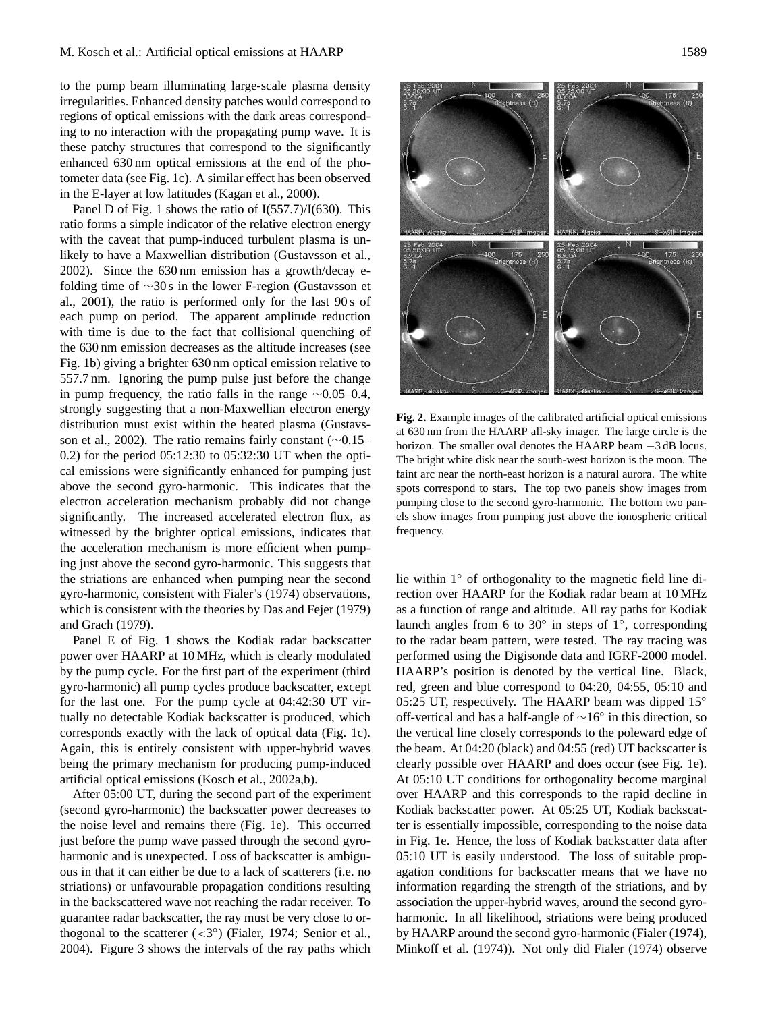to the pump beam illuminating large-scale plasma density irregularities. Enhanced density patches would correspond to regions of optical emissions with the dark areas corresponding to no interaction with the propagating pump wave. It is these patchy structures that correspond to the significantly enhanced 630 nm optical emissions at the end of the photometer data (see Fig. 1c). A similar effect has been observed in the E-layer at low latitudes (Kagan et al., 2000).

Panel D of Fig. 1 shows the ratio of  $I(557.7)/I(630)$ . This ratio forms a simple indicator of the relative electron energy with the caveat that pump-induced turbulent plasma is unlikely to have a Maxwellian distribution (Gustavsson et al., 2002). Since the 630 nm emission has a growth/decay efolding time of ∼30 s in the lower F-region (Gustavsson et al., 2001), the ratio is performed only for the last 90 s of each pump on period. The apparent amplitude reduction with time is due to the fact that collisional quenching of the 630 nm emission decreases as the altitude increases (see Fig. 1b) giving a brighter 630 nm optical emission relative to 557.7 nm. Ignoring the pump pulse just before the change in pump frequency, the ratio falls in the range ∼0.05–0.4, strongly suggesting that a non-Maxwellian electron energy distribution must exist within the heated plasma (Gustavsson et al., 2002). The ratio remains fairly constant (∼0.15– 0.2) for the period 05:12:30 to 05:32:30 UT when the optical emissions were significantly enhanced for pumping just above the second gyro-harmonic. This indicates that the electron acceleration mechanism probably did not change significantly. The increased accelerated electron flux, as witnessed by the brighter optical emissions, indicates that the acceleration mechanism is more efficient when pumping just above the second gyro-harmonic. This suggests that the striations are enhanced when pumping near the second gyro-harmonic, consistent with Fialer's (1974) observations, which is consistent with the theories by Das and Fejer (1979) and Grach (1979).

Panel E of Fig. 1 shows the Kodiak radar backscatter power over HAARP at 10 MHz, which is clearly modulated by the pump cycle. For the first part of the experiment (third gyro-harmonic) all pump cycles produce backscatter, except for the last one. For the pump cycle at 04:42:30 UT virtually no detectable Kodiak backscatter is produced, which corresponds exactly with the lack of optical data (Fig. 1c). Again, this is entirely consistent with upper-hybrid waves being the primary mechanism for producing pump-induced artificial optical emissions (Kosch et al., 2002a,b).

After 05:00 UT, during the second part of the experiment (second gyro-harmonic) the backscatter power decreases to the noise level and remains there (Fig. 1e). This occurred just before the pump wave passed through the second gyroharmonic and is unexpected. Loss of backscatter is ambiguous in that it can either be due to a lack of scatterers (i.e. no striations) or unfavourable propagation conditions resulting in the backscattered wave not reaching the radar receiver. To guarantee radar backscatter, the ray must be very close to orthogonal to the scatterer  $( $3^{\circ}$ )$  (Fialer, 1974; Senior et al., 2004). Figure 3 shows the intervals of the ray paths which



**Fig. 2.** Example images of the calibrated artificial optical emissions at 630 nm from the HAARP all-sky imager. The large circle is the horizon. The smaller oval denotes the HAARP beam −3 dB locus. The bright white disk near the south-west horizon is the moon. The faint arc near the north-east horizon is a natural aurora. The white spots correspond to stars. The top two panels show images from pumping close to the second gyro-harmonic. The bottom two panels show images from pumping just above the ionospheric critical frequency.

lie within 1◦ of orthogonality to the magnetic field line direction over HAARP for the Kodiak radar beam at 10 MHz as a function of range and altitude. All ray paths for Kodiak launch angles from 6 to  $30^\circ$  in steps of  $1^\circ$ , corresponding to the radar beam pattern, were tested. The ray tracing was performed using the Digisonde data and IGRF-2000 model. HAARP's position is denoted by the vertical line. Black, red, green and blue correspond to 04:20, 04:55, 05:10 and 05:25 UT, respectively. The HAARP beam was dipped  $15°$ off-vertical and has a half-angle of ∼16◦ in this direction, so the vertical line closely corresponds to the poleward edge of the beam. At 04:20 (black) and 04:55 (red) UT backscatter is clearly possible over HAARP and does occur (see Fig. 1e). At 05:10 UT conditions for orthogonality become marginal over HAARP and this corresponds to the rapid decline in Kodiak backscatter power. At 05:25 UT, Kodiak backscatter is essentially impossible, corresponding to the noise data in Fig. 1e. Hence, the loss of Kodiak backscatter data after 05:10 UT is easily understood. The loss of suitable propagation conditions for backscatter means that we have no information regarding the strength of the striations, and by association the upper-hybrid waves, around the second gyroharmonic. In all likelihood, striations were being produced by HAARP around the second gyro-harmonic (Fialer (1974), Minkoff et al. (1974)). Not only did Fialer (1974) observe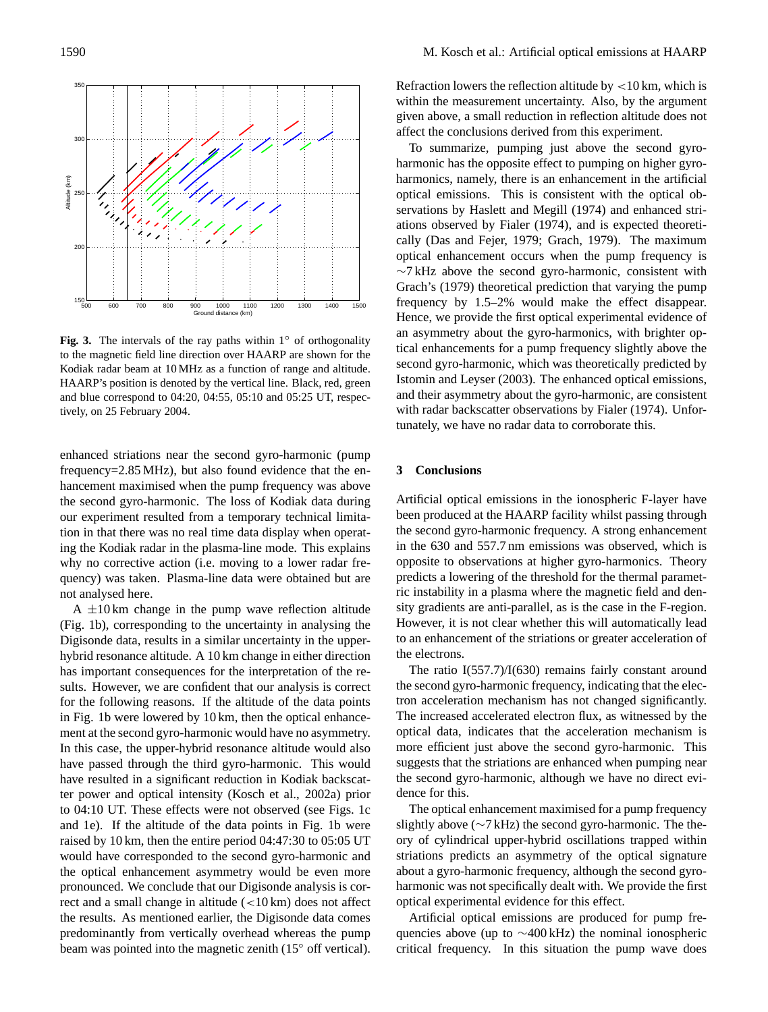

**Fig. 3.** The intervals of the ray paths within 1◦ of orthogonality to the magnetic field line direction over HAARP are shown for the Kodiak radar beam at 10 MHz as a function of range and altitude. HAARP's position is denoted by the vertical line. Black, red, green and blue correspond to 04:20, 04:55, 05:10 and 05:25 UT, respectively, on 25 February 2004.

enhanced striations near the second gyro-harmonic (pump frequency=2.85 MHz), but also found evidence that the enhancement maximised when the pump frequency was above the second gyro-harmonic. The loss of Kodiak data during our experiment resulted from a temporary technical limitation in that there was no real time data display when operating the Kodiak radar in the plasma-line mode. This explains why no corrective action (i.e. moving to a lower radar frequency) was taken. Plasma-line data were obtained but are not analysed here.

A  $\pm$ 10 km change in the pump wave reflection altitude (Fig. 1b), corresponding to the uncertainty in analysing the Digisonde data, results in a similar uncertainty in the upperhybrid resonance altitude. A 10 km change in either direction has important consequences for the interpretation of the results. However, we are confident that our analysis is correct for the following reasons. If the altitude of the data points in Fig. 1b were lowered by 10 km, then the optical enhancement at the second gyro-harmonic would have no asymmetry. In this case, the upper-hybrid resonance altitude would also have passed through the third gyro-harmonic. This would have resulted in a significant reduction in Kodiak backscatter power and optical intensity (Kosch et al., 2002a) prior to 04:10 UT. These effects were not observed (see Figs. 1c and 1e). If the altitude of the data points in Fig. 1b were raised by 10 km, then the entire period 04:47:30 to 05:05 UT would have corresponded to the second gyro-harmonic and the optical enhancement asymmetry would be even more pronounced. We conclude that our Digisonde analysis is correct and a small change in altitude (<10 km) does not affect the results. As mentioned earlier, the Digisonde data comes predominantly from vertically overhead whereas the pump beam was pointed into the magnetic zenith (15◦ off vertical). Refraction lowers the reflection altitude by  $\lt 10$  km, which is within the measurement uncertainty. Also, by the argument given above, a small reduction in reflection altitude does not affect the conclusions derived from this experiment.

To summarize, pumping just above the second gyroharmonic has the opposite effect to pumping on higher gyroharmonics, namely, there is an enhancement in the artificial optical emissions. This is consistent with the optical observations by Haslett and Megill (1974) and enhanced striations observed by Fialer (1974), and is expected theoretically (Das and Fejer, 1979; Grach, 1979). The maximum optical enhancement occurs when the pump frequency is ∼7 kHz above the second gyro-harmonic, consistent with Grach's (1979) theoretical prediction that varying the pump frequency by 1.5–2% would make the effect disappear. Hence, we provide the first optical experimental evidence of an asymmetry about the gyro-harmonics, with brighter optical enhancements for a pump frequency slightly above the second gyro-harmonic, which was theoretically predicted by Istomin and Leyser (2003). The enhanced optical emissions, and their asymmetry about the gyro-harmonic, are consistent with radar backscatter observations by Fialer (1974). Unfortunately, we have no radar data to corroborate this.

#### **3 Conclusions**

Artificial optical emissions in the ionospheric F-layer have been produced at the HAARP facility whilst passing through the second gyro-harmonic frequency. A strong enhancement in the 630 and 557.7 nm emissions was observed, which is opposite to observations at higher gyro-harmonics. Theory predicts a lowering of the threshold for the thermal parametric instability in a plasma where the magnetic field and density gradients are anti-parallel, as is the case in the F-region. However, it is not clear whether this will automatically lead to an enhancement of the striations or greater acceleration of the electrons.

The ratio I(557.7)/I(630) remains fairly constant around the second gyro-harmonic frequency, indicating that the electron acceleration mechanism has not changed significantly. The increased accelerated electron flux, as witnessed by the optical data, indicates that the acceleration mechanism is more efficient just above the second gyro-harmonic. This suggests that the striations are enhanced when pumping near the second gyro-harmonic, although we have no direct evidence for this.

The optical enhancement maximised for a pump frequency slightly above (∼7 kHz) the second gyro-harmonic. The theory of cylindrical upper-hybrid oscillations trapped within striations predicts an asymmetry of the optical signature about a gyro-harmonic frequency, although the second gyroharmonic was not specifically dealt with. We provide the first optical experimental evidence for this effect.

Artificial optical emissions are produced for pump frequencies above (up to ∼400 kHz) the nominal ionospheric critical frequency. In this situation the pump wave does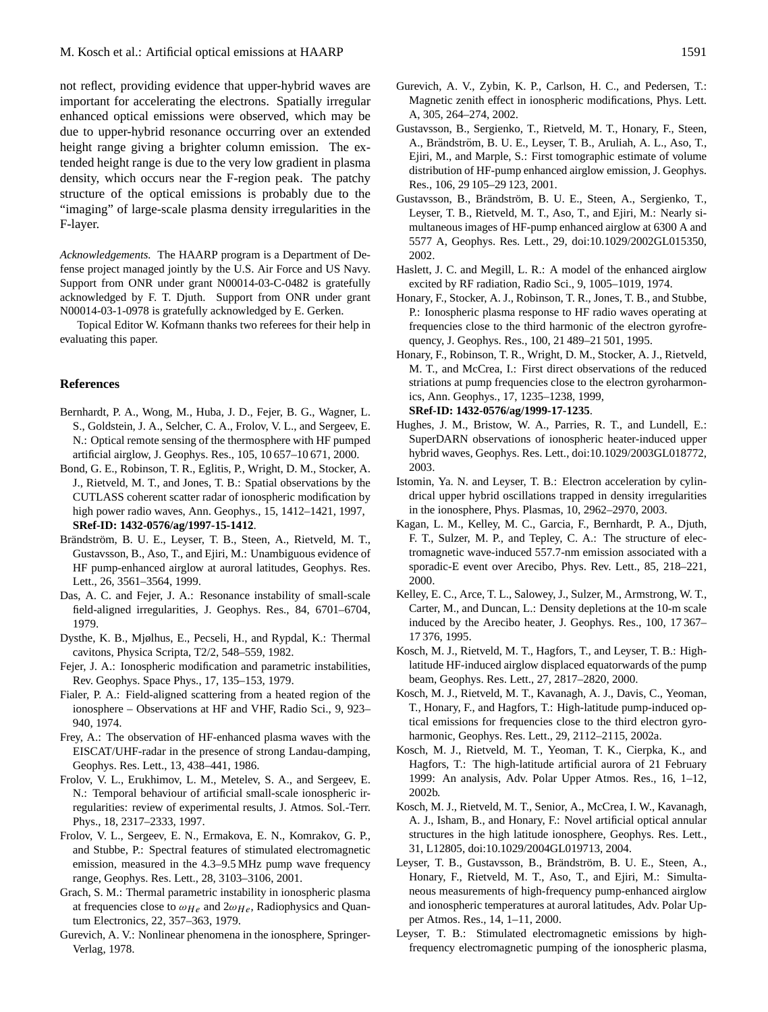not reflect, providing evidence that upper-hybrid waves are important for accelerating the electrons. Spatially irregular enhanced optical emissions were observed, which may be due to upper-hybrid resonance occurring over an extended height range giving a brighter column emission. The extended height range is due to the very low gradient in plasma density, which occurs near the F-region peak. The patchy structure of the optical emissions is probably due to the "imaging" of large-scale plasma density irregularities in the F-layer.

*Acknowledgements.* The HAARP program is a Department of Defense project managed jointly by the U.S. Air Force and US Navy. Support from ONR under grant N00014-03-C-0482 is gratefully acknowledged by F. T. Djuth. Support from ONR under grant N00014-03-1-0978 is gratefully acknowledged by E. Gerken.

Topical Editor W. Kofmann thanks two referees for their help in evaluating this paper.

### **References**

- Bernhardt, P. A., Wong, M., Huba, J. D., Fejer, B. G., Wagner, L. S., Goldstein, J. A., Selcher, C. A., Frolov, V. L., and Sergeev, E. N.: Optical remote sensing of the thermosphere with HF pumped artificial airglow, J. Geophys. Res., 105, 10 657–10 671, 2000.
- Bond, G. E., Robinson, T. R., Eglitis, P., Wright, D. M., Stocker, A. J., Rietveld, M. T., and Jones, T. B.: Spatial observations by the CUTLASS coherent scatter radar of ionospheric modification by high power radio waves, Ann. Geophys., 15, 1412–1421, 1997, **[SRef-ID: 1432-0576/ag/1997-15-1412](http://direct.sref.org/1432-0576/ag/1997-15-1412)**.
- Brändström, B. U. E., Leyser, T. B., Steen, A., Rietveld, M. T., Gustavsson, B., Aso, T., and Ejiri, M.: Unambiguous evidence of HF pump-enhanced airglow at auroral latitudes, Geophys. Res. Lett., 26, 3561–3564, 1999.
- Das, A. C. and Fejer, J. A.: Resonance instability of small-scale field-aligned irregularities, J. Geophys. Res., 84, 6701–6704, 1979.
- Dysthe, K. B., Mjølhus, E., Pecseli, H., and Rypdal, K.: Thermal cavitons, Physica Scripta, T2/2, 548–559, 1982.
- Fejer, J. A.: Ionospheric modification and parametric instabilities, Rev. Geophys. Space Phys., 17, 135–153, 1979.
- Fialer, P. A.: Field-aligned scattering from a heated region of the ionosphere – Observations at HF and VHF, Radio Sci., 9, 923– 940, 1974.
- Frey, A.: The observation of HF-enhanced plasma waves with the EISCAT/UHF-radar in the presence of strong Landau-damping, Geophys. Res. Lett., 13, 438–441, 1986.
- Frolov, V. L., Erukhimov, L. M., Metelev, S. A., and Sergeev, E. N.: Temporal behaviour of artificial small-scale ionospheric irregularities: review of experimental results, J. Atmos. Sol.-Terr. Phys., 18, 2317–2333, 1997.
- Frolov, V. L., Sergeev, E. N., Ermakova, E. N., Komrakov, G. P., and Stubbe, P.: Spectral features of stimulated electromagnetic emission, measured in the 4.3–9.5 MHz pump wave frequency range, Geophys. Res. Lett., 28, 3103–3106, 2001.
- Grach, S. M.: Thermal parametric instability in ionospheric plasma at frequencies close to  $\omega_{He}$  and  $2\omega_{He}$ , Radiophysics and Quantum Electronics, 22, 357–363, 1979.
- Gurevich, A. V.: Nonlinear phenomena in the ionosphere, Springer-Verlag, 1978.
- Gurevich, A. V., Zybin, K. P., Carlson, H. C., and Pedersen, T.: Magnetic zenith effect in ionospheric modifications, Phys. Lett. A, 305, 264–274, 2002.
- Gustavsson, B., Sergienko, T., Rietveld, M. T., Honary, F., Steen, A., Brändström, B. U. E., Leyser, T. B., Aruliah, A. L., Aso, T., Ejiri, M., and Marple, S.: First tomographic estimate of volume distribution of HF-pump enhanced airglow emission, J. Geophys. Res., 106, 29 105–29 123, 2001.
- Gustavsson, B., Brändström, B. U. E., Steen, A., Sergienko, T., Leyser, T. B., Rietveld, M. T., Aso, T., and Ejiri, M.: Nearly simultaneous images of HF-pump enhanced airglow at 6300 A and 5577 A, Geophys. Res. Lett., 29, doi:10.1029/2002GL015350, 2002.
- Haslett, J. C. and Megill, L. R.: A model of the enhanced airglow excited by RF radiation, Radio Sci., 9, 1005–1019, 1974.
- Honary, F., Stocker, A. J., Robinson, T. R., Jones, T. B., and Stubbe, P.: Ionospheric plasma response to HF radio waves operating at frequencies close to the third harmonic of the electron gyrofrequency, J. Geophys. Res., 100, 21 489–21 501, 1995.
- Honary, F., Robinson, T. R., Wright, D. M., Stocker, A. J., Rietveld, M. T., and McCrea, I.: First direct observations of the reduced striations at pump frequencies close to the electron gyroharmonics, Ann. Geophys., 17, 1235–1238, 1999, **[SRef-ID: 1432-0576/ag/1999-17-1235](http://direct.sref.org/1432-0576/ag/1999-17-1235)**.
- Hughes, J. M., Bristow, W. A., Parries, R. T., and Lundell, E.: SuperDARN observations of ionospheric heater-induced upper hybrid waves, Geophys. Res. Lett., doi:10.1029/2003GL018772, 2003.
- Istomin, Ya. N. and Leyser, T. B.: Electron acceleration by cylindrical upper hybrid oscillations trapped in density irregularities in the ionosphere, Phys. Plasmas, 10, 2962–2970, 2003.
- Kagan, L. M., Kelley, M. C., Garcia, F., Bernhardt, P. A., Djuth, F. T., Sulzer, M. P., and Tepley, C. A.: The structure of electromagnetic wave-induced 557.7-nm emission associated with a sporadic-E event over Arecibo, Phys. Rev. Lett., 85, 218–221, 2000.
- Kelley, E. C., Arce, T. L., Salowey, J., Sulzer, M., Armstrong, W. T., Carter, M., and Duncan, L.: Density depletions at the 10-m scale induced by the Arecibo heater, J. Geophys. Res., 100, 17 367– 17 376, 1995.
- Kosch, M. J., Rietveld, M. T., Hagfors, T., and Leyser, T. B.: Highlatitude HF-induced airglow displaced equatorwards of the pump beam, Geophys. Res. Lett., 27, 2817–2820, 2000.
- Kosch, M. J., Rietveld, M. T., Kavanagh, A. J., Davis, C., Yeoman, T., Honary, F., and Hagfors, T.: High-latitude pump-induced optical emissions for frequencies close to the third electron gyroharmonic, Geophys. Res. Lett., 29, 2112–2115, 2002a.
- Kosch, M. J., Rietveld, M. T., Yeoman, T. K., Cierpka, K., and Hagfors, T.: The high-latitude artificial aurora of 21 February 1999: An analysis, Adv. Polar Upper Atmos. Res., 16, 1–12, 2002b.
- Kosch, M. J., Rietveld, M. T., Senior, A., McCrea, I. W., Kavanagh, A. J., Isham, B., and Honary, F.: Novel artificial optical annular structures in the high latitude ionosphere, Geophys. Res. Lett., 31, L12805, doi:10.1029/2004GL019713, 2004.
- Leyser, T. B., Gustavsson, B., Brändström, B. U. E., Steen, A., Honary, F., Rietveld, M. T., Aso, T., and Ejiri, M.: Simultaneous measurements of high-frequency pump-enhanced airglow and ionospheric temperatures at auroral latitudes, Adv. Polar Upper Atmos. Res., 14, 1–11, 2000.
- Leyser, T. B.: Stimulated electromagnetic emissions by highfrequency electromagnetic pumping of the ionospheric plasma,